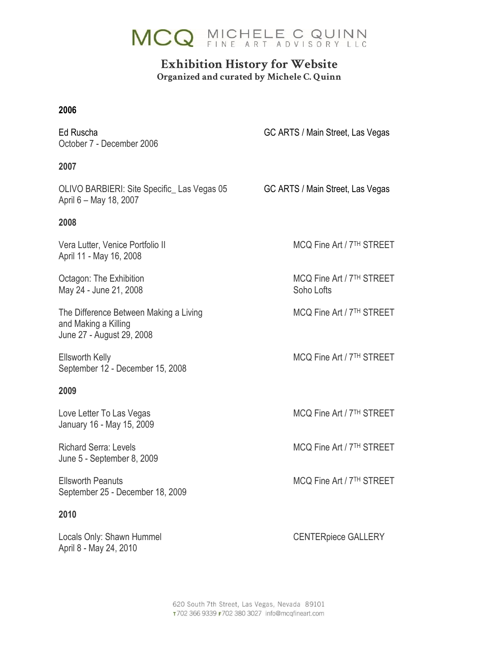

## **Exhibition History for Website Organized and curated by Michele C. Quinn**

#### **2006**

October 7 - December 2006

Ed Ruscha GC ARTS / Main Street, Las Vegas

#### **2007**

OLIVO BARBIERI: Site Specific\_Las Vegas 05 GC ARTS / Main Street, Las Vegas April 6 – May 18, 2007

#### **2008**

Vera Lutter, Venice Portfolio II Museum MCQ Fine Art / 7<sup>TH</sup> STREET April 11 - May 16, 2008

May 24 - June 21, 2008 Soho Lofts

The Difference Between Making a Living MCQ Fine Art / 7<sup>TH</sup> STREET and Making a Killing June 27 - August 29, 2008

Ellsworth Kelly **MCQ Fine Art / 7<sup>TH</sup> STREET** September 12 - December 15, 2008

#### **2009**

January 16 - May 15, 2009

June 5 - September 8, 2009

Ellsworth Peanuts **MCQ Fine Art / 7<sup>TH</sup> STREET** September 25 - December 18, 2009

#### **2010**

Locals Only: Shawn Hummel CENTERpiece GALLERY April 8 - May 24, 2010

Octagon: The Exhibition MCQ Fine Art / 7<sup>TH</sup> STREET

Love Letter To Las Vegas MCQ Fine Art / 7<sup>TH</sup> STREET

Richard Serra: Levels MCQ Fine Art / 7<sup>TH</sup> STREET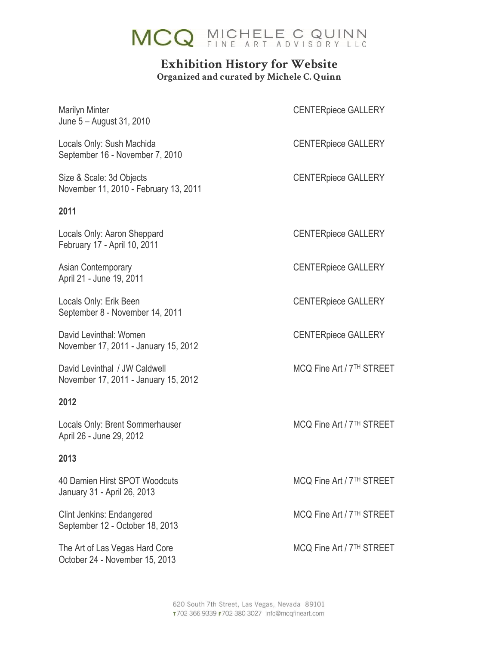

### **Exhibition History for Website Organized and curated by Michele C. Quinn**

Marilyn Minter **CENTERPIECE CONTERPIECE CONTERPIECE** June 5 – August 31, 2010

Locals Only: Sush Machida **CENTERPIECE GALLERY** September 16 - November 7, 2010

Size & Scale: 3d Objects CENTERpiece GALLERY November 11, 2010 - February 13, 2011

#### **2011**

Locals Only: Aaron Sheppard CENTERpiece GALLERY February 17 - April 10, 2011

April 21 - June 19, 2011

Locals Only: Erik Been CENTERPIECE GALLERY September 8 - November 14, 2011

David Levinthal: Women CENTERpiece GALLERY November 17, 2011 - January 15, 2012

David Levinthal / JW Caldwell MCQ Fine Art / 7<sup>TH</sup> STREET November 17, 2011 - January 15, 2012

#### **2012**

Locals Only: Brent Sommerhauser MCQ Fine Art / 7<sup>TH</sup> STREET April 26 - June 29, 2012

#### **2013**

40 Damien Hirst SPOT Woodcuts MCQ Fine Art / 7<sup>TH</sup> STREET January 31 - April 26, 2013

Clint Jenkins: Endangered MCQ Fine Art / 7<sup>TH</sup> STREET September 12 - October 18, 2013

The Art of Las Vegas Hard Core MCQ Fine Art / 7<sup>TH</sup> STREET October 24 - November 15, 2013

Asian Contemporary **CENTERPIECE CONTERPIECE GALLERY** 

620 South 7th Street, Las Vegas, Nevada 89101 T702 366 9339 F702 380 3027 info@mcqfineart.com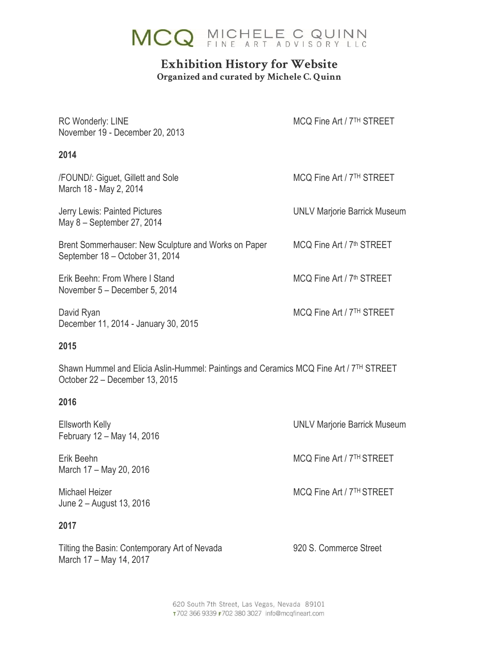

# **Exhibition History for Website**

**Organized and curated by Michele C. Quinn**

| <b>RC Wonderly: LINE</b><br>November 19 - December 20, 2013                             | MCQ Fine Art / 7TH STREET             |
|-----------------------------------------------------------------------------------------|---------------------------------------|
| 2014                                                                                    |                                       |
| /FOUND/: Giguet, Gillett and Sole<br>March 18 - May 2, 2014                             | MCQ Fine Art / 7 <sup>TH</sup> STREET |
| Jerry Lewis: Painted Pictures<br>May 8 - September 27, 2014                             | <b>UNLV Marjorie Barrick Museum</b>   |
| Brent Sommerhauser: New Sculpture and Works on Paper<br>September 18 - October 31, 2014 | MCQ Fine Art / 7 <sup>th</sup> STREET |
| Erik Beehn: From Where I Stand<br>November 5 – December 5, 2014                         | MCQ Fine Art / 7 <sup>th</sup> STREET |
| David Ryan<br>December 11, 2014 - January 30, 2015                                      | MCQ Fine Art / 7 <sup>TH</sup> STREET |
| 2015                                                                                    |                                       |

Shawn Hummel and Elicia Aslin-Hummel: Paintings and Ceramics MCQ Fine Art / 7TH STREET October 22 – December 13, 2015

#### **2016**

| <b>Ellsworth Kelly</b><br>February 12 - May 14, 2016 | <b>UNLV Marjorie Barrick Museum</b>   |
|------------------------------------------------------|---------------------------------------|
| Erik Beehn<br>March 17 - May 20, 2016                | MCQ Fine Art / 7 <sup>TH</sup> STREET |
| Michael Heizer<br>June 2 – August 13, 2016           | MCQ Fine Art / 7 <sup>TH</sup> STREET |
| 2017                                                 |                                       |

Tilting the Basin: Contemporary Art of Nevada 920 S. Commerce Street March 17 – May 14, 2017